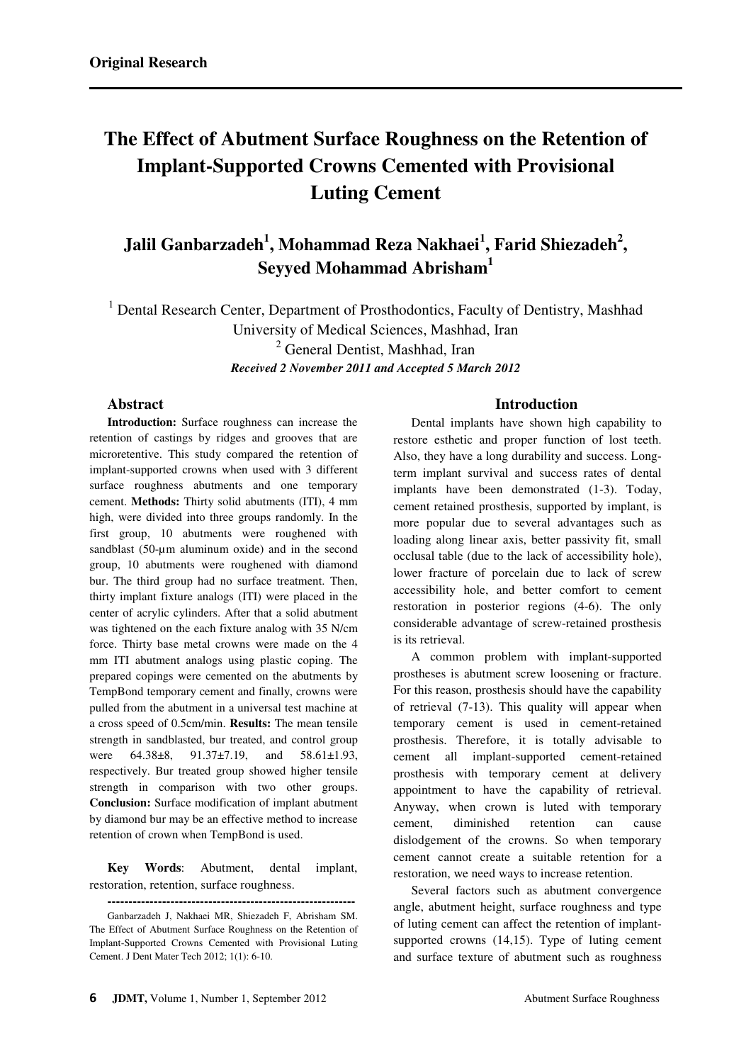# **The Effect of Abutment Surface Roughness on the Retention of Implant-Supported Crowns Cemented with Provisional Luting Cement**

**Jalil Ganbarzadeh<sup>1</sup> , Mohammad Reza Nakhaei<sup>1</sup> , Farid Shiezadeh<sup>2</sup> , Seyyed Mohammad Abrisham<sup>1</sup>**

<sup>1</sup> Dental Research Center, Department of Prosthodontics, Faculty of Dentistry, Mashhad University of Medical Sciences, Mashhad, Iran <sup>2</sup> General Dentist, Mashhad, Iran *Received 2 November 2011 and Accepted 5 March 2012* 

## **Abstract**

**Introduction:** Surface roughness can increase the retention of castings by ridges and grooves that are microretentive. This study compared the retention of implant-supported crowns when used with 3 different surface roughness abutments and one temporary cement. **Methods:** Thirty solid abutments (ITI), 4 mm high, were divided into three groups randomly. In the first group, 10 abutments were roughened with sandblast (50-um aluminum oxide) and in the second group, 10 abutments were roughened with diamond bur. The third group had no surface treatment. Then, thirty implant fixture analogs (ITI) were placed in the center of acrylic cylinders. After that a solid abutment was tightened on the each fixture analog with 35 N/cm force. Thirty base metal crowns were made on the 4 mm ITI abutment analogs using plastic coping. The prepared copings were cemented on the abutments by TempBond temporary cement and finally, crowns were pulled from the abutment in a universal test machine at a cross speed of 0.5cm/min. **Results:** The mean tensile strength in sandblasted, bur treated, and control group were 64.38±8, 91.37±7.19, and 58.61±1.93, respectively. Bur treated group showed higher tensile strength in comparison with two other groups. **Conclusion:** Surface modification of implant abutment by diamond bur may be an effective method to increase retention of crown when TempBond is used.

**Key Words**: Abutment, dental implant, restoration, retention, surface roughness.

## **Introduction**

Dental implants have shown high capability to restore esthetic and proper function of lost teeth. Also, they have a long durability and success. Longterm implant survival and success rates of dental implants have been demonstrated (1-3). Today, cement retained prosthesis, supported by implant, is more popular due to several advantages such as loading along linear axis, better passivity fit, small occlusal table (due to the lack of accessibility hole), lower fracture of porcelain due to lack of screw accessibility hole, and better comfort to cement restoration in posterior regions (4-6). The only considerable advantage of screw-retained prosthesis is its retrieval.

A common problem with implant-supported prostheses is abutment screw loosening or fracture. For this reason, prosthesis should have the capability of retrieval (7-13). This quality will appear when temporary cement is used in cement-retained prosthesis. Therefore, it is totally advisable to cement all implant-supported cement-retained prosthesis with temporary cement at delivery appointment to have the capability of retrieval. Anyway, when crown is luted with temporary cement, diminished retention can cause dislodgement of the crowns. So when temporary cement cannot create a suitable retention for a restoration, we need ways to increase retention.

Several factors such as abutment convergence angle, abutment height, surface roughness and type of luting cement can affect the retention of implantsupported crowns (14,15). Type of luting cement and surface texture of abutment such as roughness

**-----------------------------------------------------------** 

Ganbarzadeh J, Nakhaei MR, Shiezadeh F, Abrisham SM. The Effect of Abutment Surface Roughness on the Retention of Implant-Supported Crowns Cemented with Provisional Luting Cement. J Dent Mater Tech 2012; 1(1): 6-10.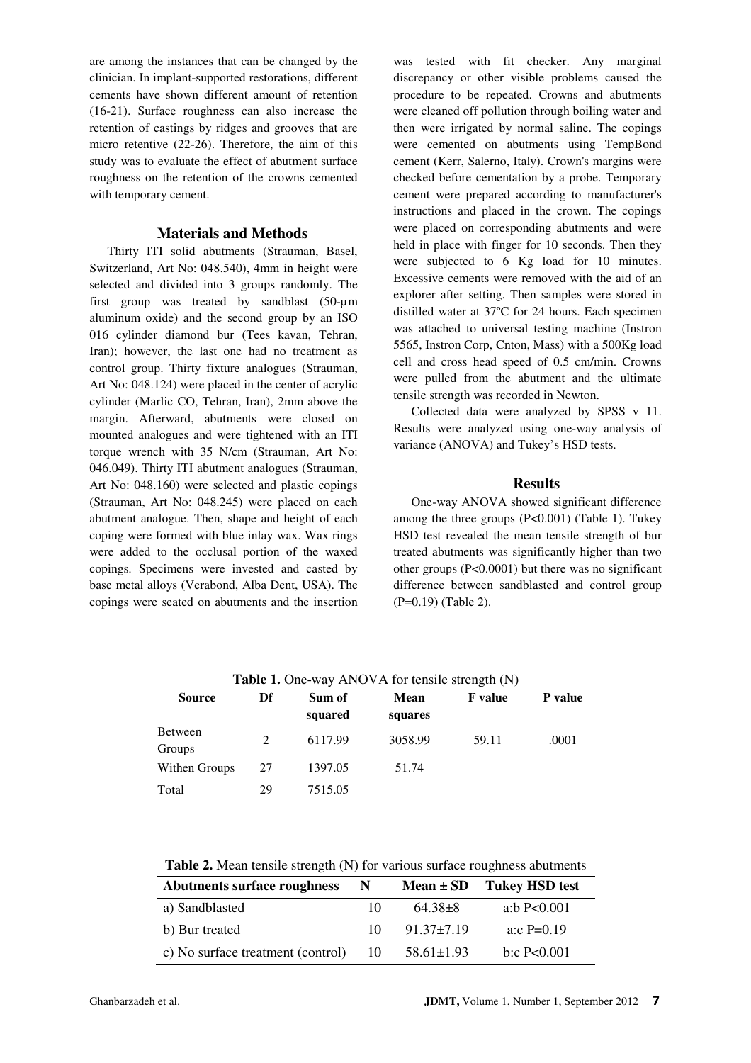are among the instances that can be changed by the clinician. In implant-supported restorations, different cements have shown different amount of retention (16-21). Surface roughness can also increase the retention of castings by ridges and grooves that are micro retentive (22-26). Therefore, the aim of this study was to evaluate the effect of abutment surface roughness on the retention of the crowns cemented with temporary cement.

#### **Materials and Methods**

Thirty ITI solid abutments (Strauman, Basel, Switzerland, Art No: 048.540), 4mm in height were selected and divided into 3 groups randomly. The first group was treated by sandblast (50-µm aluminum oxide) and the second group by an ISO 016 cylinder diamond bur (Tees kavan, Tehran, Iran); however, the last one had no treatment as control group. Thirty fixture analogues (Strauman, Art No: 048.124) were placed in the center of acrylic cylinder (Marlic CO, Tehran, Iran), 2mm above the margin. Afterward, abutments were closed on mounted analogues and were tightened with an ITI torque wrench with 35 N/cm (Strauman, Art No: 046.049). Thirty ITI abutment analogues (Strauman, Art No: 048.160) were selected and plastic copings (Strauman, Art No: 048.245) were placed on each abutment analogue. Then, shape and height of each coping were formed with blue inlay wax. Wax rings were added to the occlusal portion of the waxed copings. Specimens were invested and casted by base metal alloys (Verabond, Alba Dent, USA). The copings were seated on abutments and the insertion was tested with fit checker. Any marginal discrepancy or other visible problems caused the procedure to be repeated. Crowns and abutments were cleaned off pollution through boiling water and then were irrigated by normal saline. The copings were cemented on abutments using TempBond cement (Kerr, Salerno, Italy). Crown's margins were checked before cementation by a probe. Temporary cement were prepared according to manufacturer's instructions and placed in the crown. The copings were placed on corresponding abutments and were held in place with finger for 10 seconds. Then they were subjected to 6 Kg load for 10 minutes. Excessive cements were removed with the aid of an explorer after setting. Then samples were stored in distilled water at 37ºC for 24 hours. Each specimen was attached to universal testing machine (Instron 5565, Instron Corp, Cnton, Mass) with a 500Kg load cell and cross head speed of 0.5 cm/min. Crowns were pulled from the abutment and the ultimate tensile strength was recorded in Newton.

Collected data were analyzed by SPSS v 11. Results were analyzed using one-way analysis of variance (ANOVA) and Tukey's HSD tests.

#### **Results**

One-way ANOVA showed significant difference among the three groups  $(P<0.001)$  (Table 1). Tukey HSD test revealed the mean tensile strength of bur treated abutments was significantly higher than two other groups (P<0.0001) but there was no significant difference between sandblasted and control group (P=0.19) (Table 2).

| <b>THERE</b> IF ONE WHY THAT IT TOT REMOVED SERVICING $(11)$ |    |         |         |                |                |  |  |  |
|--------------------------------------------------------------|----|---------|---------|----------------|----------------|--|--|--|
| <b>Source</b>                                                | Df | Sum of  | Mean    | <b>F</b> value | <b>P</b> value |  |  |  |
|                                                              |    | squared | squares |                |                |  |  |  |
| <b>Between</b><br>Groups                                     | 2  | 6117.99 | 3058.99 | 59.11          | .0001          |  |  |  |
| Withen Groups                                                | 27 | 1397.05 | 51.74   |                |                |  |  |  |
| Total                                                        | 29 | 7515.05 |         |                |                |  |  |  |

**Table 1.** One-way ANOVA for tensile strength (N)

**Table 2.** Mean tensile strength (N) for various surface roughness abutments

| Abutments surface roughness       | N.  |                  | $Mean \pm SD$ Tukey HSD test |
|-----------------------------------|-----|------------------|------------------------------|
| a) Sandblasted                    | 10  | 64.38+8          | a:b $P<0.001$                |
| b) Bur treated                    | 10. | $91.37 \pm 7.19$ | a:c $P=0.19$                 |
| c) No surface treatment (control) | 10  | $58.61 \pm 1.93$ | b:c $P<0.001$                |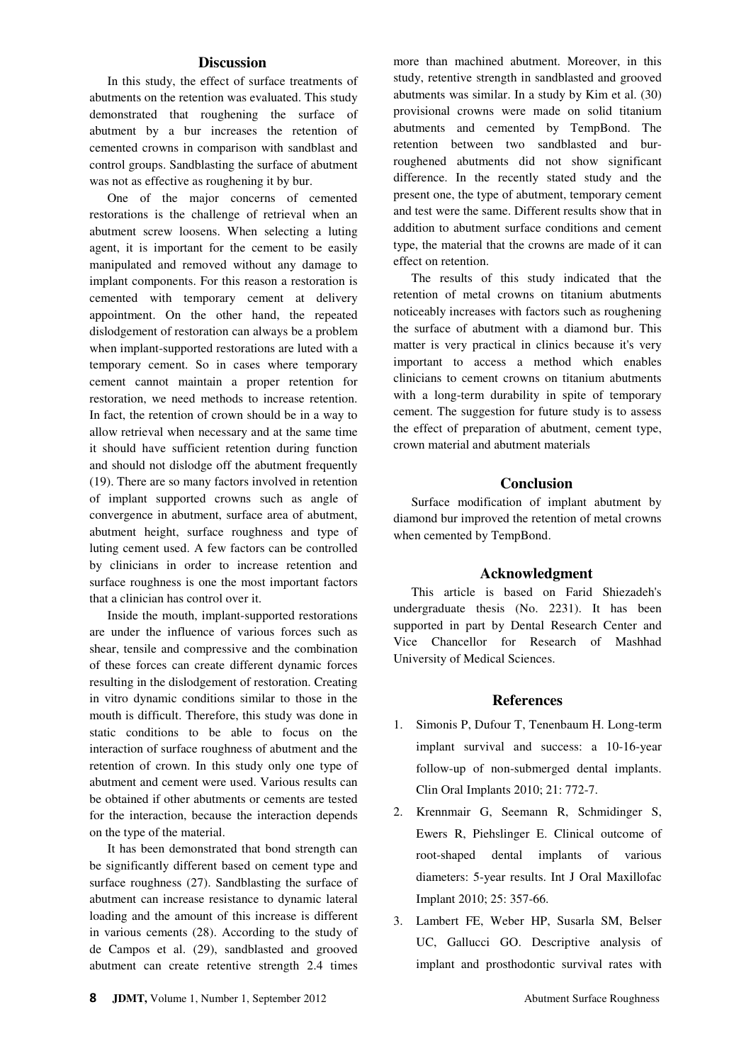## **Discussion**

In this study, the effect of surface treatments of abutments on the retention was evaluated. This study demonstrated that roughening the surface of abutment by a bur increases the retention of cemented crowns in comparison with sandblast and control groups. Sandblasting the surface of abutment was not as effective as roughening it by bur.

One of the major concerns of cemented restorations is the challenge of retrieval when an abutment screw loosens. When selecting a luting agent, it is important for the cement to be easily manipulated and removed without any damage to implant components. For this reason a restoration is cemented with temporary cement at delivery appointment. On the other hand, the repeated dislodgement of restoration can always be a problem when implant-supported restorations are luted with a temporary cement. So in cases where temporary cement cannot maintain a proper retention for restoration, we need methods to increase retention. In fact, the retention of crown should be in a way to allow retrieval when necessary and at the same time it should have sufficient retention during function and should not dislodge off the abutment frequently (19). There are so many factors involved in retention of implant supported crowns such as angle of convergence in abutment, surface area of abutment, abutment height, surface roughness and type of luting cement used. A few factors can be controlled by clinicians in order to increase retention and surface roughness is one the most important factors that a clinician has control over it.

Inside the mouth, implant-supported restorations are under the influence of various forces such as shear, tensile and compressive and the combination of these forces can create different dynamic forces resulting in the dislodgement of restoration. Creating in vitro dynamic conditions similar to those in the mouth is difficult. Therefore, this study was done in static conditions to be able to focus on the interaction of surface roughness of abutment and the retention of crown. In this study only one type of abutment and cement were used. Various results can be obtained if other abutments or cements are tested for the interaction, because the interaction depends on the type of the material.

It has been demonstrated that bond strength can be significantly different based on cement type and surface roughness (27). Sandblasting the surface of abutment can increase resistance to dynamic lateral loading and the amount of this increase is different in various cements (28). According to the study of de Campos et al. (29), sandblasted and grooved abutment can create retentive strength 2.4 times more than machined abutment. Moreover, in this study, retentive strength in sandblasted and grooved abutments was similar. In a study by Kim et al. (30) provisional crowns were made on solid titanium abutments and cemented by TempBond. The retention between two sandblasted and burroughened abutments did not show significant difference. In the recently stated study and the present one, the type of abutment, temporary cement and test were the same. Different results show that in addition to abutment surface conditions and cement type, the material that the crowns are made of it can effect on retention.

The results of this study indicated that the retention of metal crowns on titanium abutments noticeably increases with factors such as roughening the surface of abutment with a diamond bur. This matter is very practical in clinics because it's very important to access a method which enables clinicians to cement crowns on titanium abutments with a long-term durability in spite of temporary cement. The suggestion for future study is to assess the effect of preparation of abutment, cement type, crown material and abutment materials

#### **Conclusion**

Surface modification of implant abutment by diamond bur improved the retention of metal crowns when cemented by TempBond.

#### **Acknowledgment**

This article is based on Farid Shiezadeh's undergraduate thesis (No. 2231). It has been supported in part by Dental Research Center and Vice Chancellor for Research of Mashhad University of Medical Sciences.

### **References**

- 1. Simonis P, Dufour T, Tenenbaum H. Long-term implant survival and success: a 10-16-year follow-up of non-submerged dental implants. Clin Oral Implants 2010; 21: 772-7.
- 2. Krennmair G, Seemann R, Schmidinger S, Ewers R, Piehslinger E. Clinical outcome of root-shaped dental implants of various diameters: 5-year results. Int J Oral Maxillofac Implant 2010; 25: 357-66.
- 3. Lambert FE, Weber HP, Susarla SM, Belser UC, Gallucci GO. Descriptive analysis of implant and prosthodontic survival rates with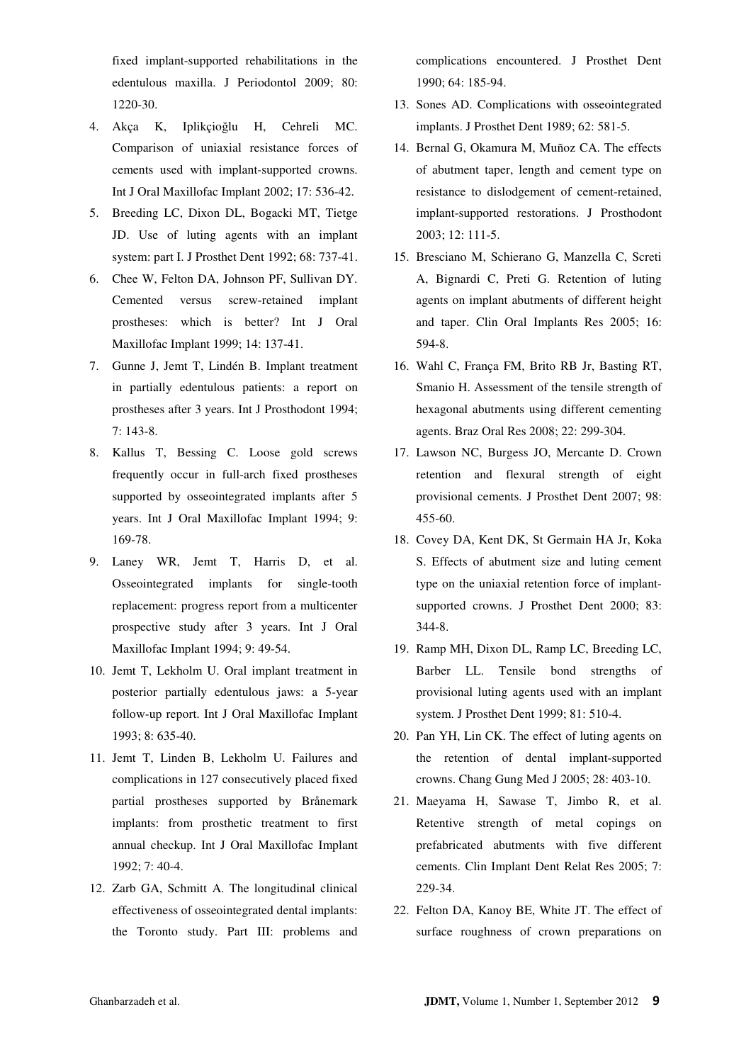fixed implant-supported rehabilitations in the edentulous maxilla. J Periodontol 2009; 80: 1220-30.

- 4. Akça K, Iplikçioğlu H, Cehreli MC. Comparison of uniaxial resistance forces of cements used with implant-supported crowns. Int J Oral Maxillofac Implant 2002; 17: 536-42.
- 5. Breeding LC, Dixon DL, Bogacki MT, Tietge JD. Use of luting agents with an implant system: part I. J Prosthet Dent 1992; 68: 737-41.
- 6. Chee W, Felton DA, Johnson PF, Sullivan DY. Cemented versus screw-retained implant prostheses: which is better? Int J Oral Maxillofac Implant 1999; 14: 137-41.
- 7. Gunne J, Jemt T, Lindén B. Implant treatment in partially edentulous patients: a report on prostheses after 3 years. Int J Prosthodont 1994; 7: 143-8.
- 8. Kallus T, Bessing C. Loose gold screws frequently occur in full-arch fixed prostheses supported by osseointegrated implants after 5 years. Int J Oral Maxillofac Implant 1994; 9: 169-78.
- 9. Laney WR, Jemt T, Harris D, et al. Osseointegrated implants for single-tooth replacement: progress report from a multicenter prospective study after 3 years. Int J Oral Maxillofac Implant 1994; 9: 49-54.
- 10. Jemt T, Lekholm U. Oral implant treatment in posterior partially edentulous jaws: a 5-year follow-up report. Int J Oral Maxillofac Implant 1993; 8: 635-40.
- 11. Jemt T, Linden B, Lekholm U. Failures and complications in 127 consecutively placed fixed partial prostheses supported by Brånemark implants: from prosthetic treatment to first annual checkup. Int J Oral Maxillofac Implant 1992; 7: 40-4.
- 12. Zarb GA, Schmitt A. The longitudinal clinical effectiveness of osseointegrated dental implants: the Toronto study. Part III: problems and

complications encountered. J Prosthet Dent 1990; 64: 185-94.

- 13. Sones AD. Complications with osseointegrated implants. J Prosthet Dent 1989; 62: 581-5.
- 14. Bernal G, Okamura M, Muñoz CA. The effects of abutment taper, length and cement type on resistance to dislodgement of cement-retained, implant-supported restorations. J Prosthodont 2003; 12: 111-5.
- 15. Bresciano M, Schierano G, Manzella C, Screti A, Bignardi C, Preti G. Retention of luting agents on implant abutments of different height and taper. Clin Oral Implants Res 2005; 16: 594-8.
- 16. Wahl C, França FM, Brito RB Jr, Basting RT, Smanio H. Assessment of the tensile strength of hexagonal abutments using different cementing agents. Braz Oral Res 2008; 22: 299-304.
- 17. Lawson NC, Burgess JO, Mercante D. Crown retention and flexural strength of eight provisional cements. J Prosthet Dent 2007; 98: 455-60.
- 18. Covey DA, Kent DK, St Germain HA Jr, Koka S. Effects of abutment size and luting cement type on the uniaxial retention force of implantsupported crowns. J Prosthet Dent 2000; 83: 344-8.
- 19. Ramp MH, Dixon DL, Ramp LC, Breeding LC, Barber LL. Tensile bond strengths of provisional luting agents used with an implant system. J Prosthet Dent 1999; 81: 510-4.
- 20. Pan YH, Lin CK. The effect of luting agents on the retention of dental implant-supported crowns. Chang Gung Med J 2005; 28: 403-10.
- 21. Maeyama H, Sawase T, Jimbo R, et al. Retentive strength of metal copings on prefabricated abutments with five different cements. Clin Implant Dent Relat Res 2005; 7: 229-34.
- 22. Felton DA, Kanoy BE, White JT. The effect of surface roughness of crown preparations on